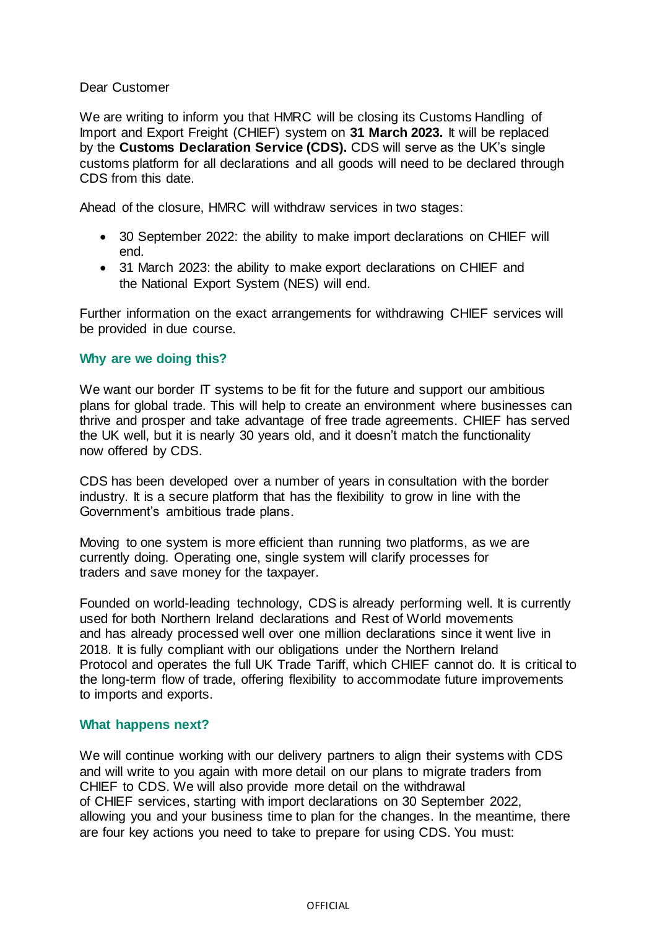## Dear Customer

We are writing to inform you that HMRC will be closing its Customs Handling of Import and Export Freight (CHIEF) system on **31 March 2023.** It will be replaced by the **Customs Declaration Service (CDS).** CDS will serve as the UK's single customs platform for all declarations and all goods will need to be declared through CDS from this date.

Ahead of the closure, HMRC will withdraw services in two stages:

- 30 September 2022: the ability to make import declarations on CHIEF will end.
- 31 March 2023: the ability to make export declarations on CHIEF and the National Export System (NES) will end.

Further information on the exact arrangements for withdrawing CHIEF services will be provided in due course.

## **Why are we doing this?**

We want our border IT systems to be fit for the future and support our ambitious plans for global trade. This will help to create an environment where businesses can thrive and prosper and take advantage of free trade agreements. CHIEF has served the UK well, but it is nearly 30 years old, and it doesn't match the functionality now offered by CDS.

CDS has been developed over a number of years in consultation with the border industry. It is a secure platform that has the flexibility to grow in line with the Government's ambitious trade plans.

Moving to one system is more efficient than running two platforms, as we are currently doing. Operating one, single system will clarify processes for traders and save money for the taxpayer.

Founded on world-leading technology, CDS is already performing well. It is currently used for both Northern Ireland declarations and Rest of World movements and has already processed well over one million declarations since it went live in 2018. It is fully compliant with our obligations under the Northern Ireland Protocol and operates the full UK Trade Tariff, which CHIEF cannot do. It is critical to the long-term flow of trade, offering flexibility to accommodate future improvements to imports and exports.

## **What happens next?**

We will continue working with our delivery partners to align their systems with CDS and will write to you again with more detail on our plans to migrate traders from CHIEF to CDS. We will also provide more detail on the withdrawal of CHIEF services, starting with import declarations on 30 September 2022, allowing you and your business time to plan for the changes. In the meantime, there are four key actions you need to take to prepare for using CDS. You must: